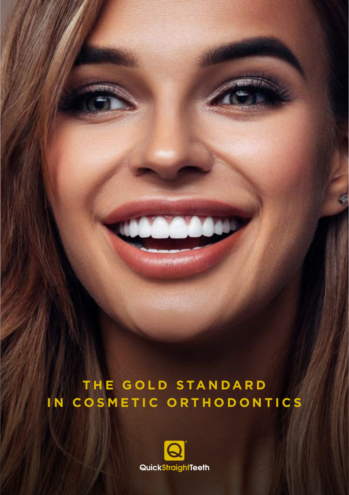## **THE GOLD STANDARD IN COSMETIC ORTHODONTICS**

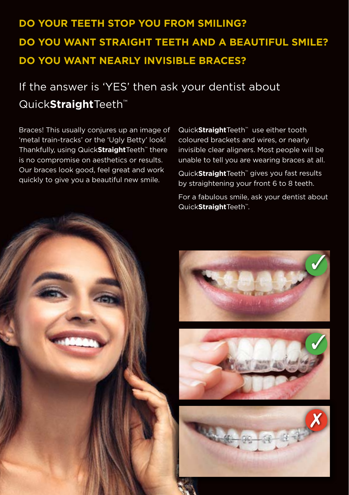## **DO YOUR TEETH STOP YOU FROM SMILING? DO YOU WANT STRAIGHT TEETH AND A BEAUTIFUL SMILE? DO YOU WANT NEARLY INVISIBLE BRACES?**

## If the answer is 'YES' then ask your dentist about Quick**Straight**Teeth™

Braces! This usually conjures up an image of 'metal train-tracks' or the 'Ugly Betty' look! Thankfully, using Quick**Straight**Teeth™ there is no compromise on aesthetics or results. Our braces look good, feel great and work quickly to give you a beautiful new smile.

Quick**Straight**Teeth™ use either tooth coloured brackets and wires, or nearly invisible clear aligners. Most people will be unable to tell you are wearing braces at all.

Quick**Straight**Teeth™ gives you fast results by straightening your front 6 to 8 teeth.

For a fabulous smile, ask your dentist about Quick**Straight**Teeth™.



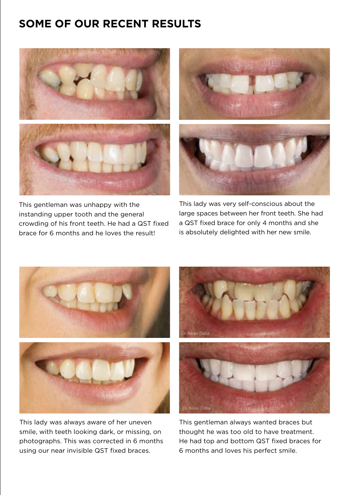## **SOME OF OUR RECENT RESULTS**



This gentleman was unhappy with the instanding upper tooth and the general crowding of his front teeth. He had a QST fixed brace for 6 months and he loves the result!



This lady was very self-conscious about the large spaces between her front teeth. She had a QST fixed brace for only 4 months and she is absolutely delighted with her new smile.



This lady was always aware of her uneven smile, with teeth looking dark, or missing, on photographs. This was corrected in 6 months using our near invisible QST fixed braces.



This gentleman always wanted braces but thought he was too old to have treatment. He had top and bottom QST fixed braces for 6 months and loves his perfect smile.